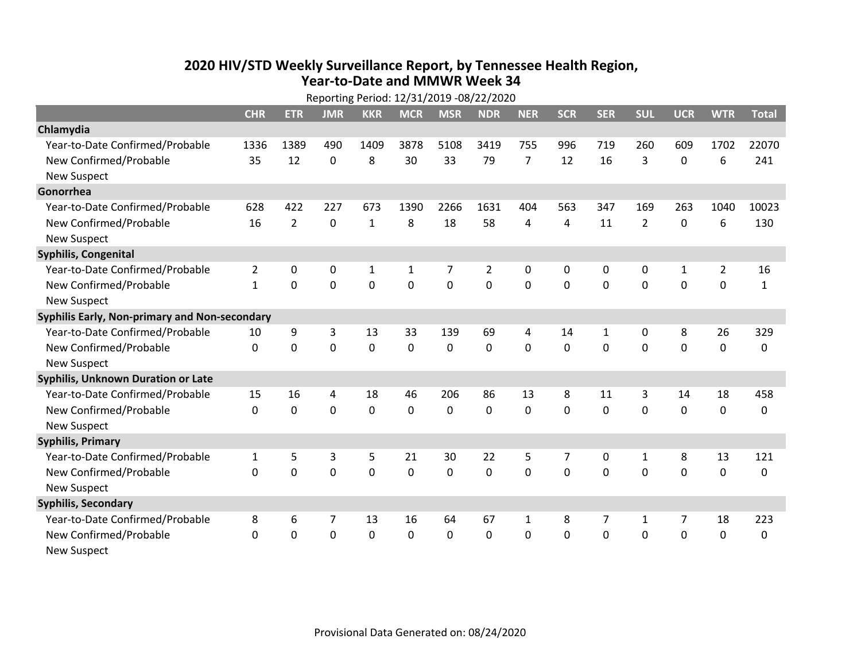## **2020 HIV /STD Weekly Surveillance Report, by Tennessee Health Region, Year‐to‐Date and MMWR Week 34** Reporting Period: 12/31/2019 ‐08/22/2020

| Reporting Period: 12/31/2019 -08/22/2020      |                |                |                |                |             |             |                |                |                |              |                |                |                |              |
|-----------------------------------------------|----------------|----------------|----------------|----------------|-------------|-------------|----------------|----------------|----------------|--------------|----------------|----------------|----------------|--------------|
|                                               | <b>CHR</b>     | <b>ETR</b>     | <b>JMR</b>     | <b>KKR</b>     | <b>MCR</b>  | <b>MSR</b>  | <b>NDR</b>     | <b>NER</b>     | <b>SCR</b>     | <b>SER</b>   | <b>SUL</b>     | <b>UCR</b>     | <b>WTR</b>     | <b>Total</b> |
| Chlamydia                                     |                |                |                |                |             |             |                |                |                |              |                |                |                |              |
| Year-to-Date Confirmed/Probable               | 1336           | 1389           | 490            | 1409           | 3878        | 5108        | 3419           | 755            | 996            | 719          | 260            | 609            | 1702           | 22070        |
| New Confirmed/Probable                        | 35             | 12             | $\mathbf 0$    | 8              | 30          | 33          | 79             | $\overline{7}$ | 12             | 16           | 3              | 0              | 6              | 241          |
| <b>New Suspect</b>                            |                |                |                |                |             |             |                |                |                |              |                |                |                |              |
| Gonorrhea                                     |                |                |                |                |             |             |                |                |                |              |                |                |                |              |
| Year-to-Date Confirmed/Probable               | 628            | 422            | 227            | 673            | 1390        | 2266        | 1631           | 404            | 563            | 347          | 169            | 263            | 1040           | 10023        |
| New Confirmed/Probable                        | 16             | $\overline{2}$ | $\mathbf 0$    | $\mathbf{1}$   | 8           | 18          | 58             | 4              | 4              | 11           | $\overline{2}$ | 0              | 6              | 130          |
| <b>New Suspect</b>                            |                |                |                |                |             |             |                |                |                |              |                |                |                |              |
| <b>Syphilis, Congenital</b>                   |                |                |                |                |             |             |                |                |                |              |                |                |                |              |
| Year-to-Date Confirmed/Probable               | $\overline{2}$ | 0              | $\mathbf 0$    | $\mathbf{1}$   | 1           | 7           | $\overline{2}$ | 0              | 0              | 0            | 0              | $\mathbf{1}$   | $\overline{2}$ | 16           |
| New Confirmed/Probable                        | $\mathbf{1}$   | $\mathbf 0$    | $\mathbf 0$    | 0              | $\mathbf 0$ | $\mathbf 0$ | 0              | $\Omega$       | $\Omega$       | 0            | 0              | 0              | $\mathbf 0$    | $\mathbf{1}$ |
| <b>New Suspect</b>                            |                |                |                |                |             |             |                |                |                |              |                |                |                |              |
| Syphilis Early, Non-primary and Non-secondary |                |                |                |                |             |             |                |                |                |              |                |                |                |              |
| Year-to-Date Confirmed/Probable               | 10             | 9              | 3              | 13             | 33          | 139         | 69             | 4              | 14             | $\mathbf{1}$ | 0              | 8              | 26             | 329          |
| New Confirmed/Probable                        | 0              | 0              | $\overline{0}$ | $\overline{0}$ | $\mathbf 0$ | $\mathbf 0$ | 0              | $\Omega$       | $\Omega$       | $\Omega$     | $\mathbf 0$    | $\mathbf 0$    | $\mathbf 0$    | 0            |
| <b>New Suspect</b>                            |                |                |                |                |             |             |                |                |                |              |                |                |                |              |
| <b>Syphilis, Unknown Duration or Late</b>     |                |                |                |                |             |             |                |                |                |              |                |                |                |              |
| Year-to-Date Confirmed/Probable               | 15             | 16             | 4              | 18             | 46          | 206         | 86             | 13             | 8              | 11           | 3              | 14             | 18             | 458          |
| New Confirmed/Probable                        | 0              | $\mathbf 0$    | $\overline{0}$ | $\overline{0}$ | $\mathbf 0$ | $\mathbf 0$ | $\Omega$       | $\Omega$       | $\Omega$       | $\Omega$     | $\Omega$       | $\mathbf 0$    | $\mathbf 0$    | 0            |
| <b>New Suspect</b>                            |                |                |                |                |             |             |                |                |                |              |                |                |                |              |
| <b>Syphilis, Primary</b>                      |                |                |                |                |             |             |                |                |                |              |                |                |                |              |
| Year-to-Date Confirmed/Probable               | $\mathbf{1}$   | 5              | 3              | 5              | 21          | 30          | 22             | 5              | $\overline{7}$ | 0            | $\mathbf{1}$   | 8              | 13             | 121          |
| New Confirmed/Probable                        | $\Omega$       | 0              | $\overline{0}$ | $\overline{0}$ | $\mathbf 0$ | $\mathbf 0$ | 0              | $\Omega$       | $\Omega$       | $\Omega$     | $\mathbf 0$    | $\Omega$       | $\mathbf 0$    | 0            |
| <b>New Suspect</b>                            |                |                |                |                |             |             |                |                |                |              |                |                |                |              |
| <b>Syphilis, Secondary</b>                    |                |                |                |                |             |             |                |                |                |              |                |                |                |              |
| Year-to-Date Confirmed/Probable               | 8              | 6              | 7              | 13             | 16          | 64          | 67             | $\mathbf{1}$   | 8              | 7            | 1              | $\overline{7}$ | 18             | 223          |
| New Confirmed/Probable                        | $\mathbf{0}$   | 0              | 0              | 0              | $\mathbf 0$ | 0           | 0              | $\mathbf 0$    | $\Omega$       | 0            | 0              | 0              | $\mathbf 0$    | 0            |
| <b>New Suspect</b>                            |                |                |                |                |             |             |                |                |                |              |                |                |                |              |